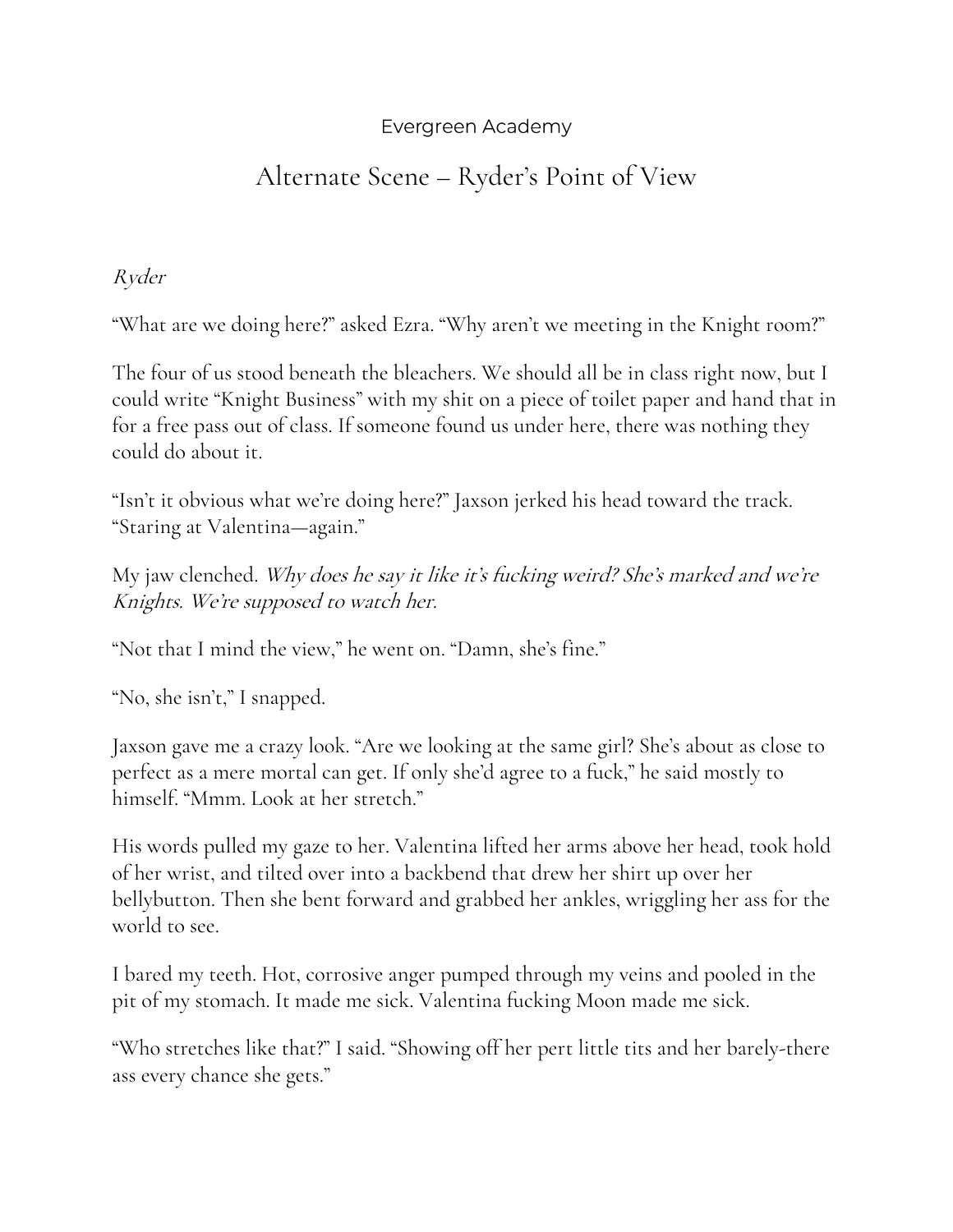## Evergreen Academy

## Alternate Scene – Ryder's Point of View

Ryder

"What are we doing here?" asked Ezra. "Why aren't we meeting in the Knight room?"

The four of us stood beneath the bleachers. We should all be in class right now, but I could write "Knight Business" with my shit on a piece of toilet paper and hand that in for a free pass out of class. If someone found us under here, there was nothing they could do about it.

"Isn't it obvious what we're doing here?" Jaxson jerked his head toward the track. "Staring at Valentina—again."

My jaw clenched. Why does he say it like it's fucking weird? She's marked and we're Knights. We're supposed to watch her.

"Not that I mind the view," he went on. "Damn, she's fine."

"No, she isn't," I snapped.

Jaxson gave me a crazy look. "Are we looking at the same girl? She's about as close to perfect as a mere mortal can get. If only she'd agree to a fuck," he said mostly to himself. "Mmm. Look at her stretch."

His words pulled my gaze to her. Valentina lifted her arms above her head, took hold of her wrist, and tilted over into a backbend that drew her shirt up over her bellybutton. Then she bent forward and grabbed her ankles, wriggling her ass for the world to see.

I bared my teeth. Hot, corrosive anger pumped through my veins and pooled in the pit of my stomach. It made me sick. Valentina fucking Moon made me sick.

"Who stretches like that?" I said. "Showing off her pert little tits and her barely-there ass every chance she gets."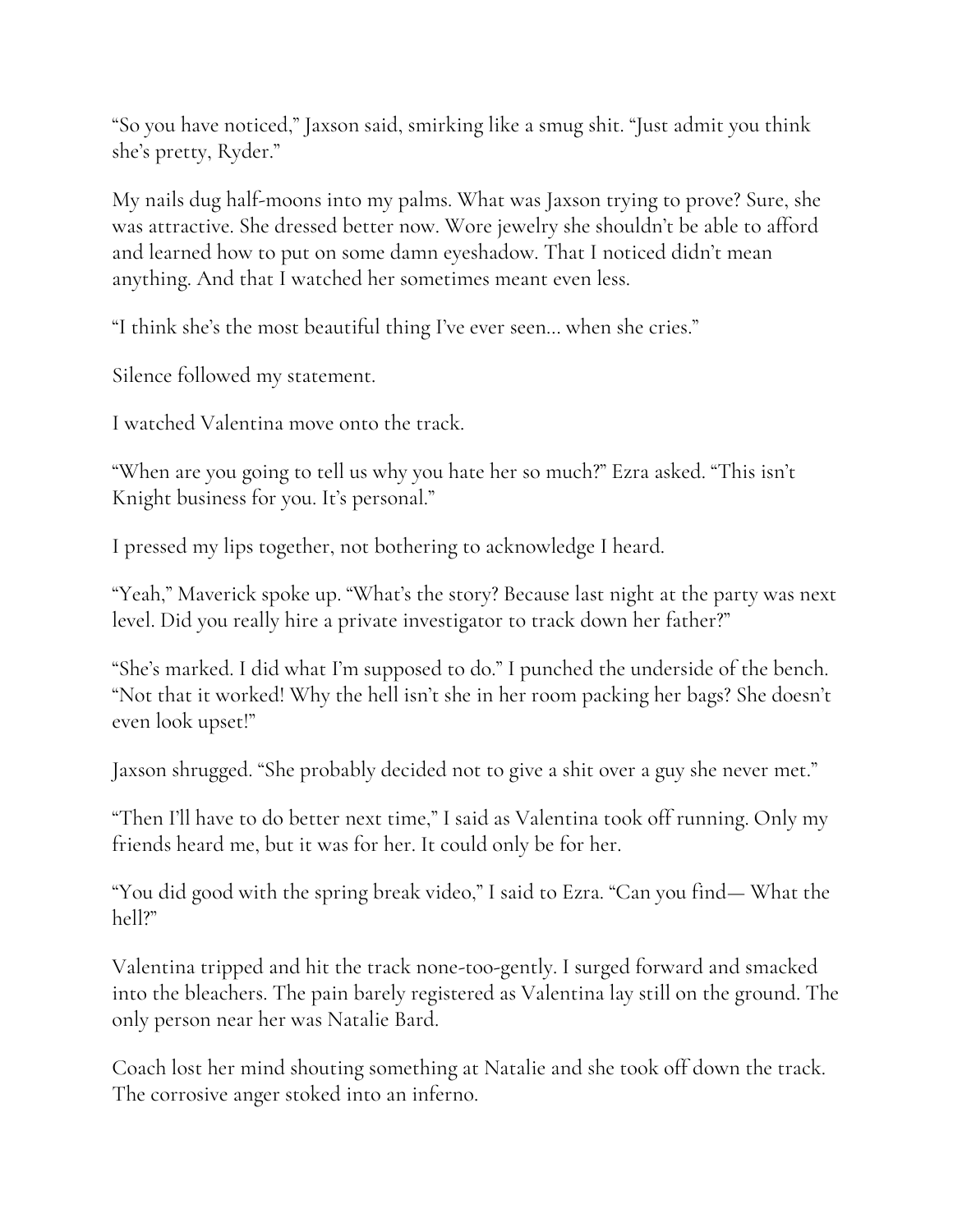"So you have noticed," Jaxson said, smirking like a smug shit. "Just admit you think she's pretty, Ryder."

My nails dug half-moons into my palms. What was Jaxson trying to prove? Sure, she was attractive. She dressed better now. Wore jewelry she shouldn't be able to afford and learned how to put on some damn eyeshadow. That I noticed didn't mean anything. And that I watched her sometimes meant even less.

"I think she's the most beautiful thing I've ever seen… when she cries."

Silence followed my statement.

I watched Valentina move onto the track.

"When are you going to tell us why you hate her so much?" Ezra asked. "This isn't Knight business for you. It's personal."

I pressed my lips together, not bothering to acknowledge I heard.

"Yeah," Maverick spoke up. "What's the story? Because last night at the party was next level. Did you really hire a private investigator to track down her father?"

"She's marked. I did what I'm supposed to do." I punched the underside of the bench. "Not that it worked! Why the hell isn't she in her room packing her bags? She doesn't even look upset!"

Jaxson shrugged. "She probably decided not to give a shit over a guy she never met."

"Then I'll have to do better next time," I said as Valentina took off running. Only my friends heard me, but it was for her. It could only be for her.

"You did good with the spring break video," I said to Ezra. "Can you find— What the hell?"

Valentina tripped and hit the track none-too-gently. I surged forward and smacked into the bleachers. The pain barely registered as Valentina lay still on the ground. The only person near her was Natalie Bard.

Coach lost her mind shouting something at Natalie and she took off down the track. The corrosive anger stoked into an inferno.